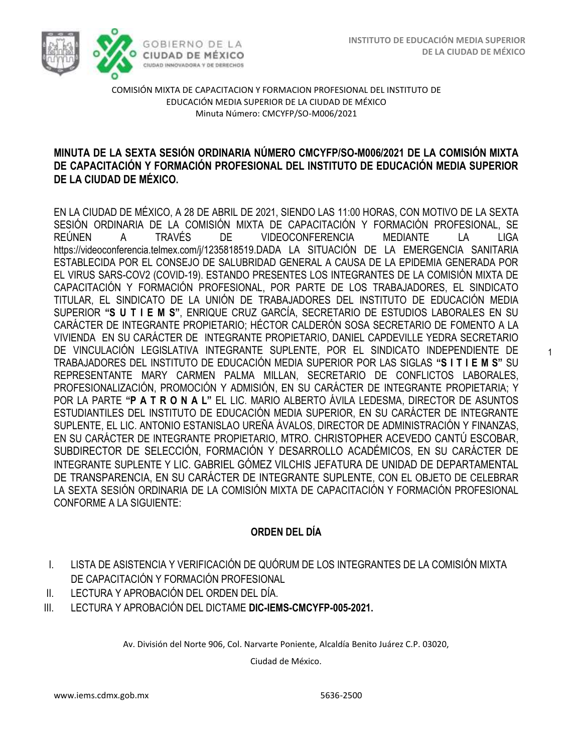1



COMISIÓN MIXTA DE CAPACITACION Y FORMACION PROFESIONAL DEL INSTITUTO DE EDUCACIÓN MEDIA SUPERIOR DE LA CIUDAD DE MÉXICO Minuta Número: CMCYFP/SO-M006/2021

## **MINUTA DE LA SEXTA SESIÓN ORDINARIA NÚMERO CMCYFP/SO-M006/2021 DE LA COMISIÓN MIXTA DE CAPACITACIÓN Y FORMACIÓN PROFESIONAL DEL INSTITUTO DE EDUCACIÓN MEDIA SUPERIOR DE LA CIUDAD DE MÉXICO.**

EN LA CIUDAD DE MÉXICO, A 28 DE ABRIL DE 2021, SIENDO LAS 11:00 HORAS, CON MOTIVO DE LA SEXTA SESIÓN ORDINARIA DE LA COMISIÓN MIXTA DE CAPACITACIÓN Y FORMACIÓN PROFESIONAL, SE REÚNEN A TRAVÉS DE VIDEOCONFERENCIA MEDIANTE LA LIGA https://videoconferencia.telmex.com/j/1235818519.DADA LA SITUACIÓN DE LA EMERGENCIA SANITARIA ESTABLECIDA POR EL CONSEJO DE SALUBRIDAD GENERAL A CAUSA DE LA EPIDEMIA GENERADA POR EL VIRUS SARS-COV2 (COVID-19). ESTANDO PRESENTES LOS INTEGRANTES DE LA COMISIÓN MIXTA DE CAPACITACIÓN Y FORMACIÓN PROFESIONAL, POR PARTE DE LOS TRABAJADORES, EL SINDICATO TITULAR, EL SINDICATO DE LA UNIÓN DE TRABAJADORES DEL INSTITUTO DE EDUCACIÓN MEDIA SUPERIOR **"S U T I E M S"**, ENRIQUE CRUZ GARCÍA, SECRETARIO DE ESTUDIOS LABORALES EN SU CARÁCTER DE INTEGRANTE PROPIETARIO; HÉCTOR CALDERÓN SOSA SECRETARIO DE FOMENTO A LA VIVIENDA EN SU CARÁCTER DE INTEGRANTE PROPIETARIO, DANIEL CAPDEVILLE YEDRA SECRETARIO DE VINCULACIÓN LEGISLATIVA INTEGRANTE SUPLENTE, POR EL SINDICATO INDEPENDIENTE DE TRABAJADORES DEL INSTITUTO DE EDUCACIÓN MEDIA SUPERIOR POR LAS SIGLAS **"S I T I E M S"** SU REPRESENTANTE MARY CARMEN PALMA MILLAN, SECRETARIO DE CONFLICTOS LABORALES, PROFESIONALIZACIÓN, PROMOCIÓN Y ADMISIÓN, EN SU CARÁCTER DE INTEGRANTE PROPIETARIA; Y POR LA PARTE **"P A T R O N A L"** EL LIC. MARIO ALBERTO ÁVILA LEDESMA, DIRECTOR DE ASUNTOS ESTUDIANTILES DEL INSTITUTO DE EDUCACIÓN MEDIA SUPERIOR, EN SU CARÁCTER DE INTEGRANTE SUPLENTE, EL LIC. ANTONIO ESTANISLAO UREÑA ÁVALOS, DIRECTOR DE ADMINISTRACIÓN Y FINANZAS, EN SU CARÁCTER DE INTEGRANTE PROPIETARIO, MTRO. CHRISTOPHER ACEVEDO CANTÚ ESCOBAR, SUBDIRECTOR DE SELECCIÓN, FORMACIÓN Y DESARROLLO ACADÉMICOS, EN SU CARÁCTER DE INTEGRANTE SUPLENTE Y LIC. GABRIEL GÓMEZ VILCHIS JEFATURA DE UNIDAD DE DEPARTAMENTAL DE TRANSPARENCIA, EN SU CARÁCTER DE INTEGRANTE SUPLENTE, CON EL OBJETO DE CELEBRAR LA SEXTA SESIÓN ORDINARIA DE LA COMISIÓN MIXTA DE CAPACITACIÓN Y FORMACIÓN PROFESIONAL CONFORME A LA SIGUIENTE:

# **ORDEN DEL DÍA**

- I. LISTA DE ASISTENCIA Y VERIFICACIÓN DE QUÓRUM DE LOS INTEGRANTES DE LA COMISIÓN MIXTA DE CAPACITACIÓN Y FORMACIÓN PROFESIONAL
- II. LECTURA Y APROBACIÓN DEL ORDEN DEL DÍA.
- III. LECTURA Y APROBACIÓN DEL DICTAME **DIC-IEMS-CMCYFP-005-2021.**

Av. División del Norte 906, Col. Narvarte Poniente, Alcaldía Benito Juárez C.P. 03020,

Ciudad de México.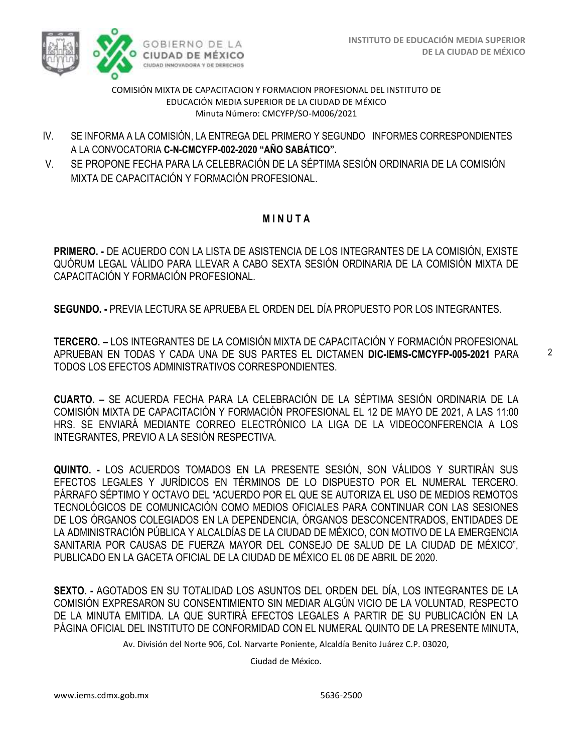

COMISIÓN MIXTA DE CAPACITACION Y FORMACION PROFESIONAL DEL INSTITUTO DE EDUCACIÓN MEDIA SUPERIOR DE LA CIUDAD DE MÉXICO Minuta Número: CMCYFP/SO-M006/2021

- IV. SE INFORMA A LA COMISIÓN, LA ENTREGA DEL PRIMERO Y SEGUNDO INFORMES CORRESPONDIENTES A LA CONVOCATORIA **C-N-CMCYFP-002-2020 "AÑO SABÁTICO".**
- V. SE PROPONE FECHA PARA LA CELEBRACIÓN DE LA SÉPTIMA SESIÓN ORDINARIA DE LA COMISIÓN MIXTA DE CAPACITACIÓN Y FORMACIÓN PROFESIONAL.

# **M I N U T A**

**PRIMERO. -** DE ACUERDO CON LA LISTA DE ASISTENCIA DE LOS INTEGRANTES DE LA COMISIÓN, EXISTE QUÓRUM LEGAL VÁLIDO PARA LLEVAR A CABO SEXTA SESIÓN ORDINARIA DE LA COMISIÓN MIXTA DE CAPACITACIÓN Y FORMACIÓN PROFESIONAL.

**SEGUNDO. -** PREVIA LECTURA SE APRUEBA EL ORDEN DEL DÍA PROPUESTO POR LOS INTEGRANTES.

**TERCERO. –** LOS INTEGRANTES DE LA COMISIÓN MIXTA DE CAPACITACIÓN Y FORMACIÓN PROFESIONAL APRUEBAN EN TODAS Y CADA UNA DE SUS PARTES EL DICTAMEN **DIC-IEMS-CMCYFP-005-2021** PARA TODOS LOS EFECTOS ADMINISTRATIVOS CORRESPONDIENTES.

**CUARTO. –** SE ACUERDA FECHA PARA LA CELEBRACIÓN DE LA SÉPTIMA SESIÓN ORDINARIA DE LA COMISIÓN MIXTA DE CAPACITACIÓN Y FORMACIÓN PROFESIONAL EL 12 DE MAYO DE 2021, A LAS 11:00 HRS. SE ENVIARÁ MEDIANTE CORREO ELECTRÓNICO LA LIGA DE LA VIDEOCONFERENCIA A LOS INTEGRANTES, PREVIO A LA SESIÓN RESPECTIVA.

**QUINTO. -** LOS ACUERDOS TOMADOS EN LA PRESENTE SESIÓN, SON VÁLIDOS Y SURTIRÁN SUS EFECTOS LEGALES Y JURÍDICOS EN TÉRMINOS DE LO DISPUESTO POR EL NUMERAL TERCERO. PÁRRAFO SÉPTIMO Y OCTAVO DEL "ACUERDO POR EL QUE SE AUTORIZA EL USO DE MEDIOS REMOTOS TECNOLÓGICOS DE COMUNICACIÓN COMO MEDIOS OFICIALES PARA CONTINUAR CON LAS SESIONES DE LOS ÓRGANOS COLEGIADOS EN LA DEPENDENCIA, ÓRGANOS DESCONCENTRADOS, ENTIDADES DE LA ADMINISTRACIÓN PÚBLICA Y ALCALDÍAS DE LA CIUDAD DE MÉXICO, CON MOTIVO DE LA EMERGENCIA SANITARIA POR CAUSAS DE FUERZA MAYOR DEL CONSEJO DE SALUD DE LA CIUDAD DE MÉXICO", PUBLICADO EN LA GACETA OFICIAL DE LA CIUDAD DE MÉXICO EL 06 DE ABRIL DE 2020.

**SEXTO. -** AGOTADOS EN SU TOTALIDAD LOS ASUNTOS DEL ORDEN DEL DÍA, LOS INTEGRANTES DE LA COMISIÓN EXPRESARON SU CONSENTIMIENTO SIN MEDIAR ALGÚN VICIO DE LA VOLUNTAD, RESPECTO DE LA MINUTA EMITIDA. LA QUE SURTIRÁ EFECTOS LEGALES A PARTIR DE SU PUBLICACIÓN EN LA PÁGINA OFICIAL DEL INSTITUTO DE CONFORMIDAD CON EL NUMERAL QUINTO DE LA PRESENTE MINUTA,

Av. División del Norte 906, Col. Narvarte Poniente, Alcaldía Benito Juárez C.P. 03020,

Ciudad de México.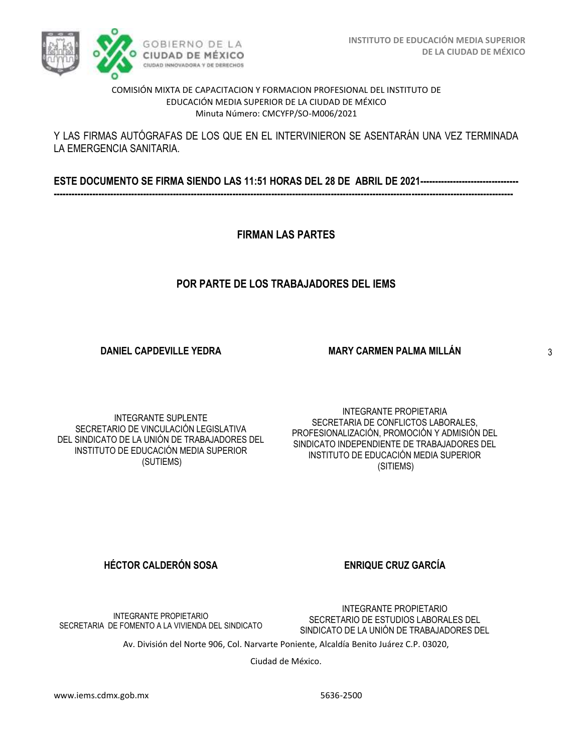### COMISIÓN MIXTA DE CAPACITACION Y FORMACION PROFESIONAL DEL INSTITUTO DE EDUCACIÓN MEDIA SUPERIOR DE LA CIUDAD DE MÉXICO Minuta Número: CMCYFP/SO-M006/2021

## Y LAS FIRMAS AUTÓGRAFAS DE LOS QUE EN EL INTERVINIERON SE ASENTARÁN UNA VEZ TERMINADA LA EMERGENCIA SANITARIA.

**ESTE DOCUMENTO SE FIRMA SIENDO LAS 11:51 HORAS DEL 28 DE ABRIL DE 2021--------------------------------- ----------------------------------------------------------------------------------------------------------------------------------------------------------**

**FIRMAN LAS PARTES**

# **POR PARTE DE LOS TRABAJADORES DEL IEMS**

**DANIEL CAPDEVILLE YEDRA**

INTEGRANTE SUPLENTE SECRETARIO DE VINCULACIÓN LEGISLATIVA DEL SINDICATO DE LA UNIÓN DE TRABAJADORES DEL INSTITUTO DE EDUCACIÓN MEDIA SUPERIOR (SUTIEMS)

INTEGRANTE PROPIETARIA SECRETARIA DE CONFLICTOS LABORALES, PROFESIONALIZACIÓN, PROMOCIÓN Y ADMISIÓN DEL SINDICATO INDEPENDIENTE DE TRABAJADORES DEL INSTITUTO DE EDUCACIÓN MEDIA SUPERIOR (SITIEMS)

**MARY CARMEN PALMA MILLÁN**

**HÉCTOR CALDERÓN SOSA ENRIQUE CRUZ GARCÍA** 

INTEGRANTE PROPIETARIO SECRETARIA DE FOMENTO A LA VIVIENDA DEL SINDICATO

Ciudad de México.

Av. División del Norte 906, Col. Narvarte Poniente, Alcaldía Benito Juárez C.P. 03020,

INTEGRANTE PROPIETARIO SECRETARIO DE ESTUDIOS LABORALES DEL SINDICATO DE LA UNIÓN DE TRABAJADORES DEL 3